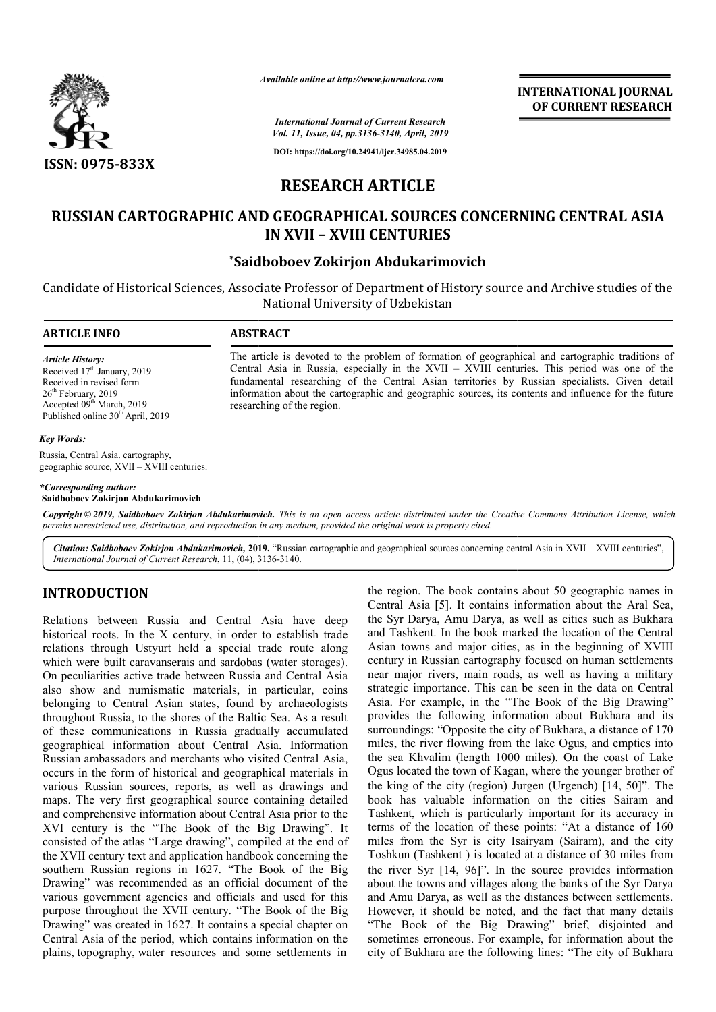

*Available online at http://www.journalcra.com*

**INTERNATIONAL JOURNAL OF CURRENT RESEARCH**

*International Journal of Current Research Vol. 11, Issue, 04, pp.3136-3140, April, 2019*

**DOI: https://doi.org/10.24941/ijcr.34985.04.2019**

# **RESEARCH ARTICLE**

## RUSSIAN CARTOGRAPHIC AND GEOGRAPHICAL SOURCES CONCERNING CENTRAL ASIA **IN XVII – XVIII CENTURIES**

### **\*Saidboboev Zokirjon Abdukarimovich Saidboboev**

Candidate of Historical Sciences, Associate Professor of Department of History source and Archive studies of the National University of Uzbekistan

# **ARTICLE INFO ABSTRACT** The article is devoted to the problem of formation of geographical and cartographic traditions of

researching of the region.

Central Asia in Russia, especially in the XVII – XVIII centuries. This period was one of the fundamental researching of the Central Asian territories by Russian specialists. Given detail information about the cartographic and geographic sources, its contents and influence for the future

The article is devoted to the problem of formation of geographical and cartographic traditions of Central Asia in Russia, especially in the XVII – XVIII centuries. This period was one of the fundamental researching of the

*Article History:* Received 17<sup>th</sup> January, 2019 Received in revised form 26<sup>th</sup> February, 2019 Accepted 09<sup>th</sup> March, 2019 Published online  $30<sup>th</sup>$  April, 2019

#### *Key Words:*

Russia, Central Asia. cartography, geographic source, XVII – XVIII centuries.

*\*Corresponding author:*

**Saidboboev Zokirjon Abdukarimovich**

Copyright © 2019, Saidboboev Zokirjon Abdukarimovich. This is an open access article distributed under the Creative Commons Attribution License, which permits unrestricted use, distribution, and reproduction in any medium, provided the original work is properly cited.

Citation: Saidboboev Zokirjon Abdukarimovich, 2019. "Russian cartographic and geographical sources concerning central Asia in XVII – XVIII centuries", *International Journal of Current Research*, 11, (04), 3136 3136-3140.

### **INTRODUCTION**

Relations between Russia and Central Asia have deep historical roots. In the X century, in order to establish trade relations through Ustyurt held a special trade route along which were built caravanserais and sardobas (water storages). On peculiarities active trade between Russia and Central Asia also show and numismatic materials, in particular, coins belonging to Central Asian states, found by archaeologists throughout Russia, to the shores of the Baltic Sea. As a result of these communications in Russia gradually accumulated geographical information about Central Asia. Information Russian ambassadors and merchants who visited Central Asia, occurs in the form of historical and geographical materials in various Russian sources, reports, as well as drawings and maps. The very first geographical source containing detailed and comprehensive information about Central Asia prior to the XVI century is the "The Book of the Big Drawing". It consisted of the atlas "Large drawing", compiled at the end of the XVII century text and application handbook concerning the southern Russian regions in 1627. "The Book of the Big Drawing" was recommended as an official document of the various government agencies and officials and used for this various government agencies and officials and used for this purpose throughout the XVII century. "The Book of the Big Drawing" was created in 1627. It contains a special chapter on Central Asia of the period, which contains information on the plains, topography, water resources and some settlements in

the region. The book contains about 50 geographic names in Central Asia [5]. It contains information about the Aral Sea, the Syr Darya, Amu Darya, as well as cities such as Bukhara and Tashkent. In the book marked the Asian towns and major cities, as in the beginning of XVIII century in Russian cartography focused on human settlements near major rivers, main roads, as well as having a military strategic importance. This can be seen in t century in Russian cartography focused on human settlements near major rivers, main roads, as well as having a military strategic importance. This can be seen in the data on Central Asia. For example, in the "The Book of the Big Drawing" provides the following information about Bukhara and its surroundings: "Opposite the city of Bukhara, a distance of 170 miles, the river flowing from the lake Ogus, and empties into the sea Khvalim (length 1000 miles). On the coast of Lake provides the following information about Bukhara and its surroundings: "Opposite the city of Bukhara, a distance of 170 miles, the river flowing from the lake Ogus, and empties into the sea Khvalim (length 1000 miles). On the king of the city (region) Jurgen (Urgench) 14, 50". The book has valuable information on the cities Sairam and Tashkent, which is particularly important for its accuracy in terms of the location of these points: "At a distance of 160 miles from the Syr is city Isairyam (Sairam), and the city Toshkun (Tashkent ) is located at a distance of 30 miles from book has valuable information on the cities Sairam and Tashkent, which is particularly important for its accuracy in terms of the location of these points: "At a distance of 160 miles from the Syr is city Isairyam (Sairam) about the towns and villages along the banks of the Syr Darya and Amu Darya, as well as the distances between settlements. However, it should be noted, and the fact that many details about the towns and villages along the banks of the Syr Darya<br>and Amu Darya, as well as the distances between settlements.<br>However, it should be noted, and the fact that many details<br>"The Book of the Big Drawing" brief, di sometimes erroneous. For example, for information about the city of Bukhara are the following lines: "The city of Bukhara e book contains about 50 geographic names in<br>5]. It contains information about the Aral Sea,<br>Amu Darya, as well as cities such as Bukhara<br>In the book marked the location of the Central **INTERNATIONAL JOURNAL EST**<br> **CONVERTED CONCESS CONCERNING CENTRAL ASIA CONVERTED CONVERTS (CONVERTS)<br>
<b>CONVERTS ARE A APONEMIC ASIA CONVERTS**<br> **ARTICLE**<br> **AL SOURCES CONCERNING CENTRAL ASIA CENTRAL ASIA CENTRAL BOURCES CO**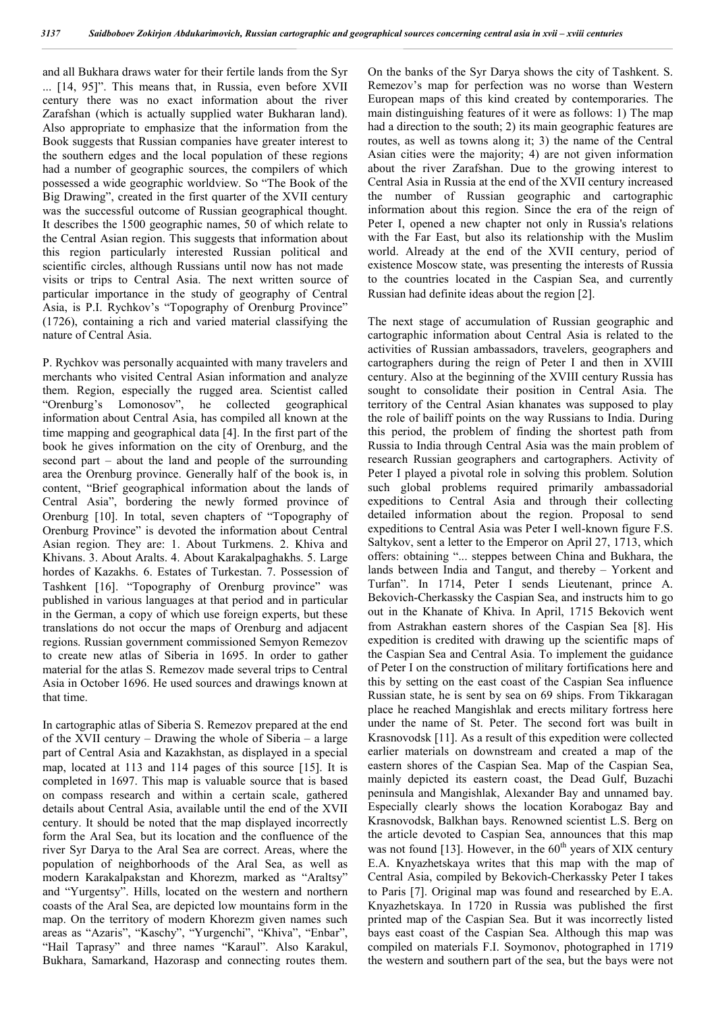and all Bukhara draws water for their fertile lands from the Syr ... 14, 95". This means that, in Russia, even before XVII century there was no exact information about the river Zarafshan (which is actually supplied water Bukharan land). Also appropriate to emphasize that the information from the Book suggests that Russian companies have greater interest to the southern edges and the local population of these regions had a number of geographic sources, the compilers of which possessed a wide geographic worldview. So "The Book of the Big Drawing", created in the first quarter of the XVII century was the successful outcome of Russian geographical thought. It describes the 1500 geographic names, 50 of which relate to the Central Asian region. This suggests that information about this region particularly interested Russian political and scientific circles, although Russians until now has not made visits or trips to Central Asia. The next written source of particular importance in the study of geography of Central Asia, is P.I. Rychkov's "Topography of Orenburg Province" (1726), containing a rich and varied material classifying the nature of Central Asia.

P. Rychkov was personally acquainted with many travelers and merchants who visited Central Asian information and analyze them. Region, especially the rugged area. Scientist called "Orenburg's Lomonosov", he collected geographical information about Central Asia, has compiled all known at the time mapping and geographical data [4]. In the first part of the book he gives information on the city of Orenburg, and the second part – about the land and people of the surrounding area the Orenburg province. Generally half of the book is, in content, "Brief geographical information about the lands of Central Asia", bordering the newly formed province of Orenburg [10]. In total, seven chapters of "Topography of Orenburg Province" is devoted the information about Central Asian region. They are: 1. About Turkmens. 2. Khiva and Khivans. 3. About Aralts. 4. About Karakalpaghakhs. 5. Large hordes of Kazakhs. 6. Estates of Turkestan. 7. Possession of Tashkent [16]. "Topography of Orenburg province" was published in various languages at that period and in particular in the German, a copy of which use foreign experts, but these translations do not occur the maps of Orenburg and adjacent regions. Russian government commissioned Semyon Remezov to create new atlas of Siberia in 1695. In order to gather material for the atlas S. Remezov made several trips to Central Asia in October 1696. He used sources and drawings known at that time.

In cartographic atlas of Siberia S. Remezov prepared at the end of the XVII century – Drawing the whole of Siberia – a large part of Central Asia and Kazakhstan, as displayed in a special map, located at  $113$  and  $114$  pages of this source  $[15]$ . It is completed in 1697. This map is valuable source that is based on compass research and within a certain scale, gathered details about Central Asia, available until the end of the XVII century. It should be noted that the map displayed incorrectly form the Aral Sea, but its location and the confluence of the river Syr Darya to the Aral Sea are correct. Areas, where the population of neighborhoods of the Aral Sea, as well as modern Karakalpakstan and Khorezm, marked as "Araltsy" and "Yurgentsy". Hills, located on the western and northern coasts of the Aral Sea, are depicted low mountains form in the map. On the territory of modern Khorezm given names such areas as "Azaris", "Kaschy", "Yurgenchi", "Khiva", "Enbar", "Hail Taprasy" and three names "Karaul". Also Karakul, Bukhara, Samarkand, Hazorasp and connecting routes them.

On the banks of the Syr Darya shows the city of Tashkent. S. Remezov's map for perfection was no worse than Western European maps of this kind created by contemporaries. The main distinguishing features of it were as follows: 1) The map had a direction to the south; 2) its main geographic features are routes, as well as towns along it; 3) the name of the Central Asian cities were the majority; 4) are not given information about the river Zarafshan. Due to the growing interest to Central Asia in Russia at the end of the XVII century increased the number of Russian geographic and cartographic information about this region. Since the era of the reign of Peter I, opened a new chapter not only in Russia's relations with the Far East, but also its relationship with the Muslim world. Already at the end of the XVII century, period of existence Moscow state, was presenting the interests of Russia to the countries located in the Caspian Sea, and currently Russian had definite ideas about the region [2].

The next stage of accumulation of Russian geographic and cartographic information about Central Asia is related to the activities of Russian ambassadors, travelers, geographers and cartographers during the reign of Peter I and then in XVIII century. Also at the beginning of the XVIII century Russia has sought to consolidate their position in Central Asia. The territory of the Central Asian khanates was supposed to play the role of bailiff points on the way Russians to India. During this period, the problem of finding the shortest path from Russia to India through Central Asia was the main problem of research Russian geographers and cartographers. Activity of Peter I played a pivotal role in solving this problem. Solution such global problems required primarily ambassadorial expeditions to Central Asia and through their collecting detailed information about the region. Proposal to send expeditions to Central Asia was Peter I well-known figure F.S. Saltykov, sent a letter to the Emperor on April 27, 1713, which offers: obtaining "... steppes between China and Bukhara, the lands between India and Tangut, and thereby – Yorkent and Turfan". In 1714, Peter I sends Lieutenant, prince A. Bekovich-Cherkassky the Caspian Sea, and instructs him to go out in the Khanate of Khiva. In April, 1715 Bekovich went from Astrakhan eastern shores of the Caspian Sea [8]. His expedition is credited with drawing up the scientific maps of the Caspian Sea and Central Asia. To implement the guidance of Peter I on the construction of military fortifications here and this by setting on the east coast of the Caspian Sea influence Russian state, he is sent by sea on 69 ships. From Tikkaragan place he reached Mangishlak and erects military fortress here under the name of St. Peter. The second fort was built in Krasnovodsk [11]. As a result of this expedition were collected earlier materials on downstream and created a map of the eastern shores of the Caspian Sea. Map of the Caspian Sea, mainly depicted its eastern coast, the Dead Gulf, Buzachi peninsula and Mangishlak, Alexander Bay and unnamed bay. Especially clearly shows the location Korabogaz Bay and Krasnovodsk, Balkhan bays. Renowned scientist L.S. Berg on the article devoted to Caspian Sea, announces that this map was not found [13]. However, in the  $60<sup>th</sup>$  years of XIX century E.A. Knyazhetskaya writes that this map with the map of Central Asia, compiled by Bekovich-Cherkassky Peter I takes to Paris [7]. Original map was found and researched by E.A. Knyazhetskaya. In 1720 in Russia was published the first printed map of the Caspian Sea. But it was incorrectly listed bays east coast of the Caspian Sea. Although this map was compiled on materials F.I. Soymonov, photographed in 1719 the western and southern part of the sea, but the bays were not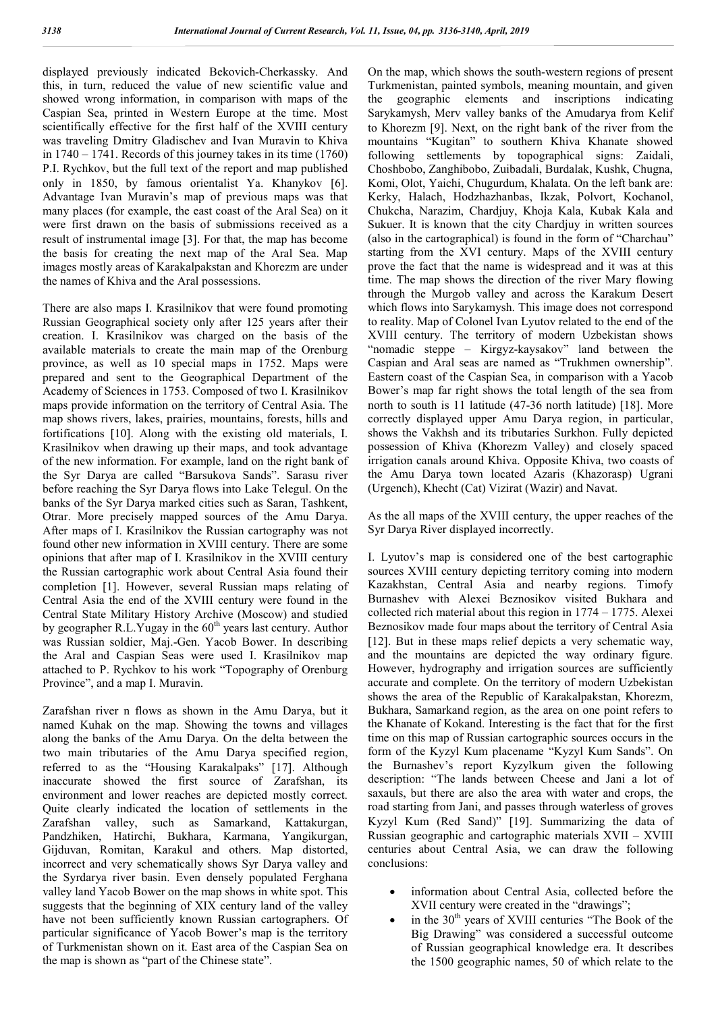displayed previously indicated Bekovich-Cherkassky. And this, in turn, reduced the value of new scientific value and showed wrong information, in comparison with maps of the Caspian Sea, printed in Western Europe at the time. Most scientifically effective for the first half of the XVIII century was traveling Dmitry Gladischev and Ivan Muravin to Khiva in  $1740 - 1741$ . Records of this journey takes in its time  $(1760)$ P.I. Rychkov, but the full text of the report and map published only in 1850, by famous orientalist Ya. Khanykov [6]. Advantage Ivan Muravin's map of previous maps was that many places (for example, the east coast of the Aral Sea) on it were first drawn on the basis of submissions received as a result of instrumental image [3]. For that, the map has become the basis for creating the next map of the Aral Sea. Map images mostly areas of Karakalpakstan and Khorezm are under the names of Khiva and the Aral possessions.

There are also maps I. Krasilnikov that were found promoting Russian Geographical society only after 125 years after their creation. I. Krasilnikov was charged on the basis of the available materials to create the main map of the Orenburg province, as well as 10 special maps in 1752. Maps were prepared and sent to the Geographical Department of the Academy of Sciences in 1753. Composed of two I. Krasilnikov maps provide information on the territory of Central Asia. The map shows rivers, lakes, prairies, mountains, forests, hills and fortifications [10]. Along with the existing old materials, I. Krasilnikov when drawing up their maps, and took advantage of the new information. For example, land on the right bank of the Syr Darya are called "Barsukova Sands". Sarasu river before reaching the Syr Darya flows into Lake Telegul. On the banks of the Syr Darya marked cities such as Saran, Tashkent, Otrar. More precisely mapped sources of the Amu Darya. After maps of I. Krasilnikov the Russian cartography was not found other new information in XVIII century. There are some opinions that after map of I. Krasilnikov in the XVIII century the Russian cartographic work about Central Asia found their completion [1]. However, several Russian maps relating of Central Asia the end of the XVIII century were found in the Central State Military History Archive (Moscow) and studied by geographer R.L.Yugay in the  $60<sup>th</sup>$  years last century. Author was Russian soldier, Maj.-Gen. Yacob Bower. In describing the Aral and Caspian Seas were used I. Krasilnikov map attached to P. Rychkov to his work "Topography of Orenburg Province", and a map I. Muravin.

Zarafshan river n flows as shown in the Amu Darya, but it named Kuhak on the map. Showing the towns and villages along the banks of the Amu Darya. On the delta between the two main tributaries of the Amu Darya specified region, referred to as the "Housing Karakalpaks" [17]. Although inaccurate showed the first source of Zarafshan, its environment and lower reaches are depicted mostly correct. Quite clearly indicated the location of settlements in the Zarafshan valley, such as Samarkand, Kattakurgan, Pandzhiken, Hatirchi, Bukhara, Karmana, Yangikurgan, Gijduvan, Romitan, Karakul and others. Map distorted, incorrect and very schematically shows Syr Darya valley and the Syrdarya river basin. Even densely populated Ferghana valley land Yacob Bower on the map shows in white spot. This suggests that the beginning of XIX century land of the valley have not been sufficiently known Russian cartographers. Of particular significance of Yacob Bower's map is the territory of Turkmenistan shown on it. East area of the Caspian Sea on the map is shown as "part of the Chinese state".

On the map, which shows the south-western regions of present Turkmenistan, painted symbols, meaning mountain, and given the geographic elements and inscriptions indicating Sarykamysh, Merv valley banks of the Amudarya from Kelif to Khorezm [9]. Next, on the right bank of the river from the mountains "Kugitan" to southern Khiva Khanate showed following settlements by topographical signs: Zaidali, Choshbobo, Zanghibobo, Zuibadali, Burdalak, Kushk, Chugna, Komi, Olot, Yaichi, Chugurdum, Khalata. On the left bank are: Kerky, Halach, Hodzhazhanbas, Ikzak, Polvort, Kochanol, Chukcha, Narazim, Chardjuy, Khoja Kala, Kubak Kala and Sukuer. It is known that the city Chardjuy in written sources (also in the cartographical) is found in the form of "Charchau" starting from the XVI century. Maps of the XVIII century prove the fact that the name is widespread and it was at this time. The map shows the direction of the river Mary flowing through the Murgob valley and across the Karakum Desert which flows into Sarykamysh. This image does not correspond to reality. Map of Colonel Ivan Lyutov related to the end of the XVIII century. The territory of modern Uzbekistan shows "nomadic steppe – Kirgyz-kaysakov" land between the Caspian and Aral seas are named as "Trukhmen ownership". Eastern coast of the Caspian Sea, in comparison with a Yacob Bower's map far right shows the total length of the sea from north to south is  $11$  latitude  $(47-36$  north latitude)  $[18]$ . More correctly displayed upper Amu Darya region, in particular, shows the Vakhsh and its tributaries Surkhon. Fully depicted possession of Khiva (Khorezm Valley) and closely spaced irrigation canals around Khiva. Opposite Khiva, two coasts of the Amu Darya town located Azaris (Khazorasp) Ugrani (Urgench), Khecht (Cat) Vizirat (Wazir) and Navat.

As the all maps of the XVIII century, the upper reaches of the Syr Darya River displayed incorrectly.

I. Lyutov's map is considered one of the best cartographic sources XVIII century depicting territory coming into modern Kazakhstan, Central Asia and nearby regions. Timofy Burnashev with Alexei Beznosikov visited Bukhara and collected rich material about this region in 1774 – 1775. Alexei Beznosikov made four maps about the territory of Central Asia [12]. But in these maps relief depicts a very schematic way, and the mountains are depicted the way ordinary figure. However, hydrography and irrigation sources are sufficiently accurate and complete. On the territory of modern Uzbekistan shows the area of the Republic of Karakalpakstan, Khorezm, Bukhara, Samarkand region, as the area on one point refers to the Khanate of Kokand. Interesting is the fact that for the first time on this map of Russian cartographic sources occurs in the form of the Kyzyl Kum placename "Kyzyl Kum Sands". On the Burnashev's report Kyzylkum given the following description: "The lands between Cheese and Jani a lot of saxauls, but there are also the area with water and crops, the road starting from Jani, and passes through waterless of groves Kyzyl Kum (Red Sand)" [19]. Summarizing the data of Russian geographic and cartographic materials XVII – XVIII centuries about Central Asia, we can draw the following conclusions:

- information about Central Asia, collected before the XVII century were created in the "drawings";
- in the  $30<sup>th</sup>$  years of XVIII centuries "The Book of the Big Drawing" was considered a successful outcome of Russian geographical knowledge era. It describes the 1500 geographic names, 50 of which relate to the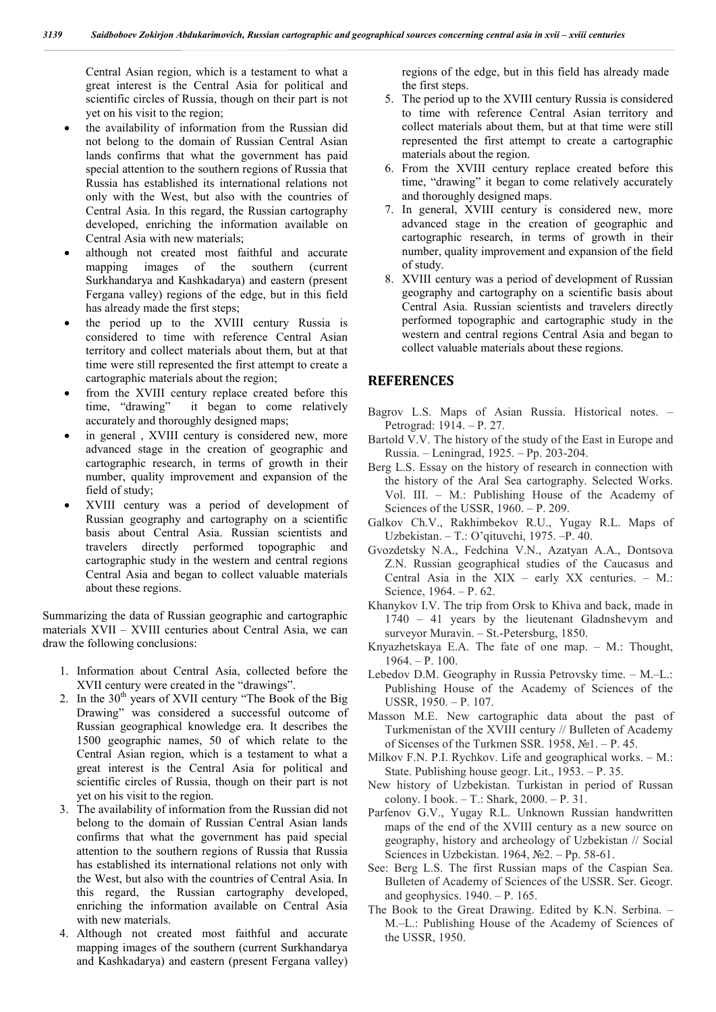Central Asian region, which is a testament to what a great interest is the Central Asia for political and scientific circles of Russia, though on their part is not yet on his visit to the region;

- the availability of information from the Russian did not belong to the domain of Russian Central Asian lands confirms that what the government has paid special attention to the southern regions of Russia that Russia has established its international relations not only with the West, but also with the countries of Central Asia. In this regard, the Russian cartography developed, enriching the information available on Central Asia with new materials;
- although not created most faithful and accurate mapping images of the southern (current Surkhandarya and Kashkadarya) and eastern (present Fergana valley) regions of the edge, but in this field has already made the first steps;
- the period up to the XVIII century Russia is considered to time with reference Central Asian territory and collect materials about them, but at that time were still represented the first attempt to create a cartographic materials about the region;
- from the XVIII century replace created before this time, "drawing" it began to come relatively accurately and thoroughly designed maps;
- in general , XVIII century is considered new, more advanced stage in the creation of geographic and cartographic research, in terms of growth in their number, quality improvement and expansion of the field of study;
- XVIII century was a period of development of Russian geography and cartography on a scientific basis about Central Asia. Russian scientists and travelers directly performed topographic and cartographic study in the western and central regions Central Asia and began to collect valuable materials about these regions.

Summarizing the data of Russian geographic and cartographic materials XVII – XVIII centuries about Central Asia, we can draw the following conclusions:

- 1. Information about Central Asia, collected before the XVII century were created in the "drawings".
- 2. In the  $30<sup>th</sup>$  years of XVII century "The Book of the Big Drawing" was considered a successful outcome of Russian geographical knowledge era. It describes the 1500 geographic names, 50 of which relate to the Central Asian region, which is a testament to what a great interest is the Central Asia for political and scientific circles of Russia, though on their part is not yet on his visit to the region.
- 3. The availability of information from the Russian did not belong to the domain of Russian Central Asian lands confirms that what the government has paid special attention to the southern regions of Russia that Russia has established its international relations not only with the West, but also with the countries of Central Asia. In this regard, the Russian cartography developed, enriching the information available on Central Asia with new materials.
- 4. Although not created most faithful and accurate mapping images of the southern (current Surkhandarya and Kashkadarya) and eastern (present Fergana valley)

regions of the edge, but in this field has already made the first steps.

- 5. The period up to the XVIII century Russia is considered to time with reference Central Asian territory and collect materials about them, but at that time were still represented the first attempt to create a cartographic materials about the region.
- 6. From the XVIII century replace created before this time, "drawing" it began to come relatively accurately and thoroughly designed maps.
- 7. In general, XVIII century is considered new, more advanced stage in the creation of geographic and cartographic research, in terms of growth in their number, quality improvement and expansion of the field of study.
- 8. XVIII century was a period of development of Russian geography and cartography on a scientific basis about Central Asia. Russian scientists and travelers directly performed topographic and cartographic study in the western and central regions Central Asia and began to collect valuable materials about these regions.

### **REFERENCES**

- Bagrov L.S. Maps of Asian Russia. Historical notes. Petrograd: 1914. – P. 27.
- Bartold V.V. The history of the study of the East in Europe and Russia. – Leningrad, 1925. – Pp. 203-204.
- Berg L.S. Essay on the history of research in connection with the history of the Aral Sea cartography. Selected Works. Vol. III. – M.: Publishing House of the Academy of Sciences of the USSR, 1960. – P. 209.
- Galkov Ch.V., Rakhimbekov R.U., Yugay R.L. Maps of Uzbekistan. – T.: O'qituvchi, 1975. –P. 40.
- Gvozdetsky N.A., Fedchina V.N., Azatyan A.A., Dontsova Z.N. Russian geographical studies of the Caucasus and Central Asia in the XIX – early XX centuries. – M.: Science, 1964. – P. 62.
- Khanykov I.V. The trip from Orsk to Khiva and back, made in 1740 – 41 years by the lieutenant Gladnshevym and surveyor Muravin. – St.-Petersburg, 1850.
- Knyazhetskaya E.A. The fate of one map. M.: Thought, 1964. – P. 100.
- Lebedov D.M. Geography in Russia Petrovsky time. M.–L.: Publishing House of the Academy of Sciences of the USSR, 1950. – P. 107.
- Masson M.E. New cartographic data about the past of Turkmenistan of the XVIII century // Bulleten of Academy of Sicenses of the Turkmen SSR. 1958,  $N_2$ 1. – P. 45.
- Milkov F.N. P.I. Rychkov. Life and geographical works. M.: State. Publishing house geogr. Lit., 1953. – P. 35.
- New history of Uzbekistan. Turkistan in period of Russan colony. I book. – T.: Shark, 2000. – P. 31.
- Parfenov G.V., Yugay R.L. Unknown Russian handwritten maps of the end of the XVIII century as a new source on geography, history and archeology of Uzbekistan // Social Sciences in Uzbekistan. 1964, №2. – Pp. 58-61.
- See: Berg L.S. The first Russian maps of the Caspian Sea. Bulleten of Academy of Sciences of the USSR. Ser. Geogr. and geophysics. 1940. – P. 165.
- The Book to the Great Drawing. Edited by K.N. Serbina. M.–L.: Publishing House of the Academy of Sciences of the USSR, 1950.